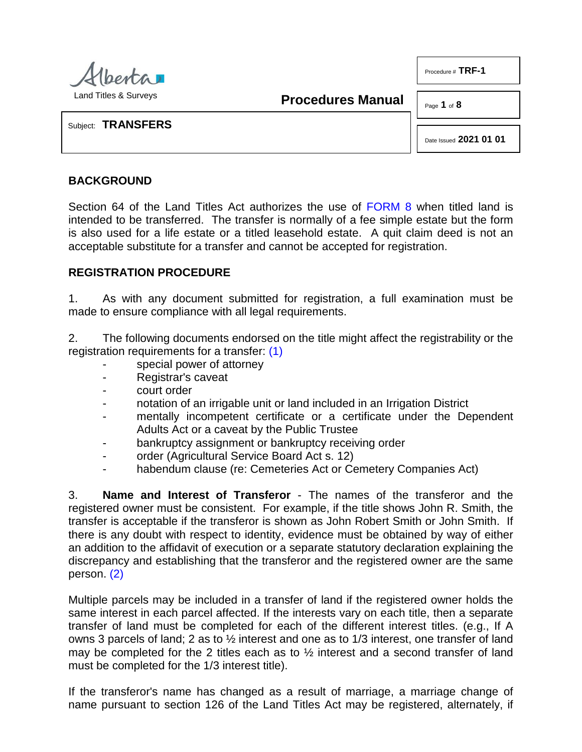

**Procedures Manual**

Page **1** of **8**

Procedure # **TRF-1**

Subject: **TRANSFERS**

Date Issued **2021 01 01**

## **BACKGROUND**

Section 64 of the Land Titles Act authorizes the use of [FORM 8](http://www.servicealberta.ca/pdf/ltmanual/FORM8.PDF) when titled land is intended to be transferred. The transfer is normally of a fee simple estate but the form is also used for a life estate or a titled leasehold estate. A quit claim deed is not an acceptable substitute for a transfer and cannot be accepted for registration.

## **REGISTRATION PROCEDURE**

1. As with any document submitted for registration, a full examination must be made to ensure compliance with all legal requirements.

2. The following documents endorsed on the title might affect the registrability or the registration requirements for a transfer: [\(1\)](#page-6-0)

- <span id="page-0-0"></span>special power of attorney
- Registrar's caveat
- court order
- notation of an irrigable unit or land included in an Irrigation District
- mentally incompetent certificate or a certificate under the Dependent Adults Act or a caveat by the Public Trustee
- bankruptcy assignment or bankruptcy receiving order
- order (Agricultural Service Board Act s. 12)
- habendum clause (re: Cemeteries Act or Cemetery Companies Act)

3. **Name and Interest of Transferor** - The names of the transferor and the registered owner must be consistent. For example, if the title shows John R. Smith, the transfer is acceptable if the transferor is shown as John Robert Smith or John Smith. If there is any doubt with respect to identity, evidence must be obtained by way of either an addition to the affidavit of execution or a separate statutory declaration explaining the discrepancy and establishing that the transferor and the registered owner are the same person. [\(2\)](#page-6-1)

<span id="page-0-1"></span>Multiple parcels may be included in a transfer of land if the registered owner holds the same interest in each parcel affected. If the interests vary on each title, then a separate transfer of land must be completed for each of the different interest titles. (e.g., If A owns 3 parcels of land; 2 as to ½ interest and one as to 1/3 interest, one transfer of land may be completed for the 2 titles each as to ½ interest and a second transfer of land must be completed for the 1/3 interest title).

If the transferor's name has changed as a result of marriage, a marriage change of name pursuant to section 126 of the Land Titles Act may be registered, alternately, if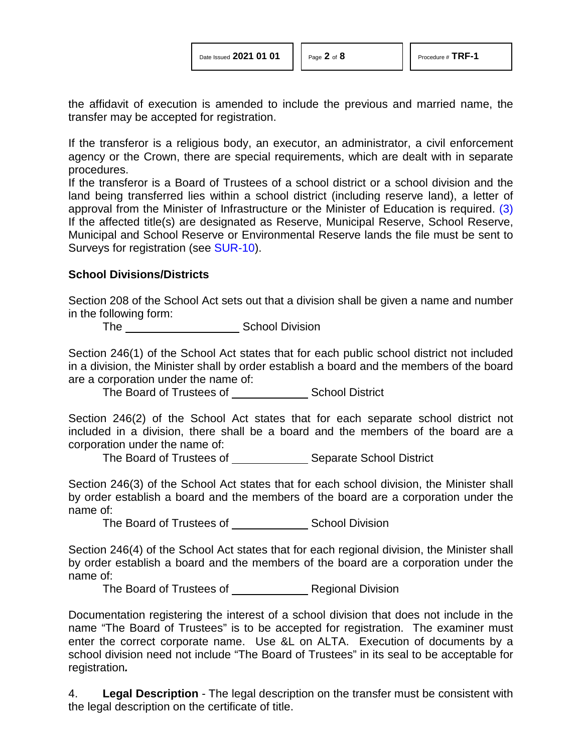<span id="page-1-0"></span>

the affidavit of execution is amended to include the previous and married name, the transfer may be accepted for registration.

If the transferor is a religious body, an executor, an administrator, a civil enforcement agency or the Crown, there are special requirements, which are dealt with in separate procedures.

If the transferor is a Board of Trustees of a school district or a school division and the land being transferred lies within a school district (including reserve land), a letter of approval from the Minister of Infrastructure or the Minister of Education is required. [\(3\)](#page-6-2)  If the affected title(s) are designated as Reserve, Municipal Reserve, School Reserve, Municipal and School Reserve or Environmental Reserve lands the file must be sent to Surveys for registration (see [SUR-10\)](http://www.servicealberta.ca/pdf/ltmanual/SUR-10.pdf).

#### **School Divisions/Districts**

Section 208 of the School Act sets out that a division shall be given a name and number in the following form:

The Chamber Chamber School Division

Section 246(1) of the School Act states that for each public school district not included in a division, the Minister shall by order establish a board and the members of the board are a corporation under the name of:

The Board of Trustees of School District

Section 246(2) of the School Act states that for each separate school district not included in a division, there shall be a board and the members of the board are a corporation under the name of:

The Board of Trustees of Separate School District

Section 246(3) of the School Act states that for each school division, the Minister shall by order establish a board and the members of the board are a corporation under the name of:

The Board of Trustees of \_\_\_\_\_\_\_\_\_\_\_\_\_\_\_\_\_\_ School Division

Section 246(4) of the School Act states that for each regional division, the Minister shall by order establish a board and the members of the board are a corporation under the name of:

The Board of Trustees of Regional Division

Documentation registering the interest of a school division that does not include in the name "The Board of Trustees" is to be accepted for registration. The examiner must enter the correct corporate name. Use &L on ALTA. Execution of documents by a school division need not include "The Board of Trustees" in its seal to be acceptable for registration*.*

4. **Legal Description** - The legal description on the transfer must be consistent with the legal description on the certificate of title.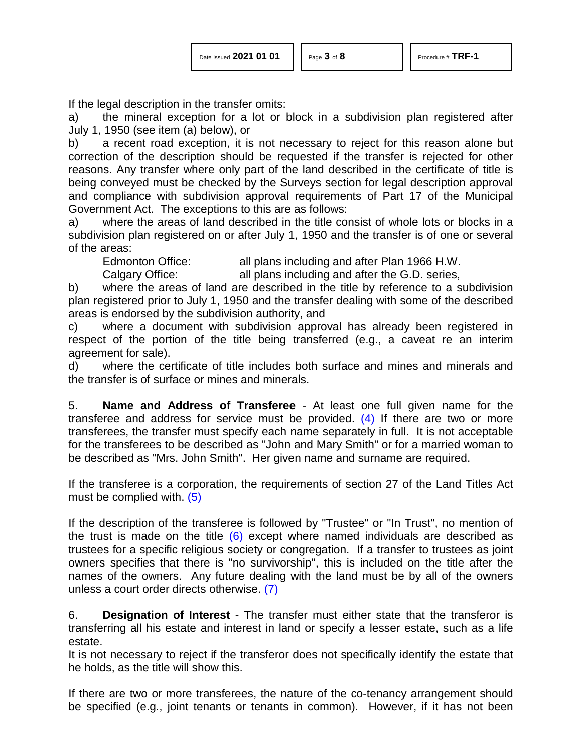If the legal description in the transfer omits:

a) the mineral exception for a lot or block in a subdivision plan registered after July 1, 1950 (see item (a) below), or

b) a recent road exception, it is not necessary to reject for this reason alone but correction of the description should be requested if the transfer is rejected for other reasons. Any transfer where only part of the land described in the certificate of title is being conveyed must be checked by the Surveys section for legal description approval and compliance with subdivision approval requirements of Part 17 of the Municipal Government Act. The exceptions to this are as follows:

a) where the areas of land described in the title consist of whole lots or blocks in a subdivision plan registered on or after July 1, 1950 and the transfer is of one or several of the areas:

Edmonton Office: all plans including and after Plan 1966 H.W.

Calgary Office: all plans including and after the G.D. series,

b) where the areas of land are described in the title by reference to a subdivision plan registered prior to July 1, 1950 and the transfer dealing with some of the described areas is endorsed by the subdivision authority, and

c) where a document with subdivision approval has already been registered in respect of the portion of the title being transferred (e.g., a caveat re an interim agreement for sale).

d) where the certificate of title includes both surface and mines and minerals and the transfer is of surface or mines and minerals.

<span id="page-2-0"></span>5. **Name and Address of Transferee** - At least one full given name for the transferee and address for service must be provided.  $(4)$  If there are two or more transferees, the transfer must specify each name separately in full. It is not acceptable for the transferees to be described as "John and Mary Smith" or for a married woman to be described as "Mrs. John Smith". Her given name and surname are required.

<span id="page-2-1"></span>If the transferee is a corporation, the requirements of section 27 of the Land Titles Act must be complied with. [\(5\)](#page-6-4)

<span id="page-2-2"></span>If the description of the transferee is followed by "Trustee" or "In Trust", no mention of the trust is made on the title  $(6)$  except where named individuals are described as trustees for a specific religious society or congregation. If a transfer to trustees as joint owners specifies that there is "no survivorship", this is included on the title after the names of the owners. Any future dealing with the land must be by all of the owners unless a court order directs otherwise. [\(7\)](#page-6-6)

<span id="page-2-3"></span>6. **Designation of Interest** - The transfer must either state that the transferor is transferring all his estate and interest in land or specify a lesser estate, such as a life estate.

It is not necessary to reject if the transferor does not specifically identify the estate that he holds, as the title will show this.

If there are two or more transferees, the nature of the co-tenancy arrangement should be specified (e.g., joint tenants or tenants in common). However, if it has not been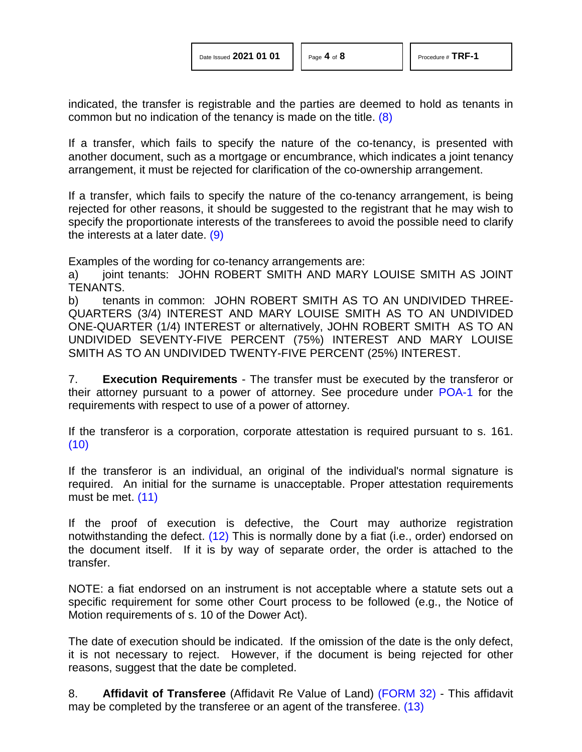<span id="page-3-0"></span>indicated, the transfer is registrable and the parties are deemed to hold as tenants in common but no indication of the tenancy is made on the title. [\(8\)](#page-6-7)

If a transfer, which fails to specify the nature of the co-tenancy, is presented with another document, such as a mortgage or encumbrance, which indicates a joint tenancy arrangement, it must be rejected for clarification of the co-ownership arrangement.

If a transfer, which fails to specify the nature of the co-tenancy arrangement, is being rejected for other reasons, it should be suggested to the registrant that he may wish to specify the proportionate interests of the transferees to avoid the possible need to clarify the interests at a later date. [\(9\)](#page-6-8)

<span id="page-3-1"></span>Examples of the wording for co-tenancy arrangements are:

a) joint tenants: JOHN ROBERT SMITH AND MARY LOUISE SMITH AS JOINT TENANTS.

b) tenants in common: JOHN ROBERT SMITH AS TO AN UNDIVIDED THREE-QUARTERS (3/4) INTEREST AND MARY LOUISE SMITH AS TO AN UNDIVIDED ONE-QUARTER (1/4) INTEREST or alternatively, JOHN ROBERT SMITH AS TO AN UNDIVIDED SEVENTY-FIVE PERCENT (75%) INTEREST AND MARY LOUISE SMITH AS TO AN UNDIVIDED TWENTY-FIVE PERCENT (25%) INTEREST.

7. **Execution Requirements** - The transfer must be executed by the transferor or their attorney pursuant to a power of attorney. See procedure under [POA-1](http://www.servicealberta.ca/pdf/ltmanual/POA-1.pdf) for the requirements with respect to use of a power of attorney.

<span id="page-3-2"></span>If the transferor is a corporation, corporate attestation is required pursuant to s. 161. [\(10\)](#page-6-9)

<span id="page-3-3"></span>If the transferor is an individual, an original of the individual's normal signature is required. An initial for the surname is unacceptable. Proper attestation requirements must be met. [\(11\)](#page-6-10)

<span id="page-3-4"></span>If the proof of execution is defective, the Court may authorize registration notwithstanding the defect. [\(12\)](#page-7-0) This is normally done by a fiat (i.e., order) endorsed on the document itself. If it is by way of separate order, the order is attached to the transfer.

NOTE: a fiat endorsed on an instrument is not acceptable where a statute sets out a specific requirement for some other Court process to be followed (e.g., the Notice of Motion requirements of s. 10 of the Dower Act).

The date of execution should be indicated. If the omission of the date is the only defect, it is not necessary to reject. However, if the document is being rejected for other reasons, suggest that the date be completed.

<span id="page-3-5"></span>8. **Affidavit of Transferee** (Affidavit Re Value of Land) [\(FORM 32\)](http://www.servicealberta.ca/pdf/ltmanual/FORM32.PDF) - This affidavit may be completed by the transferee or an agent of the transferee. [\(13\)](#page-7-1)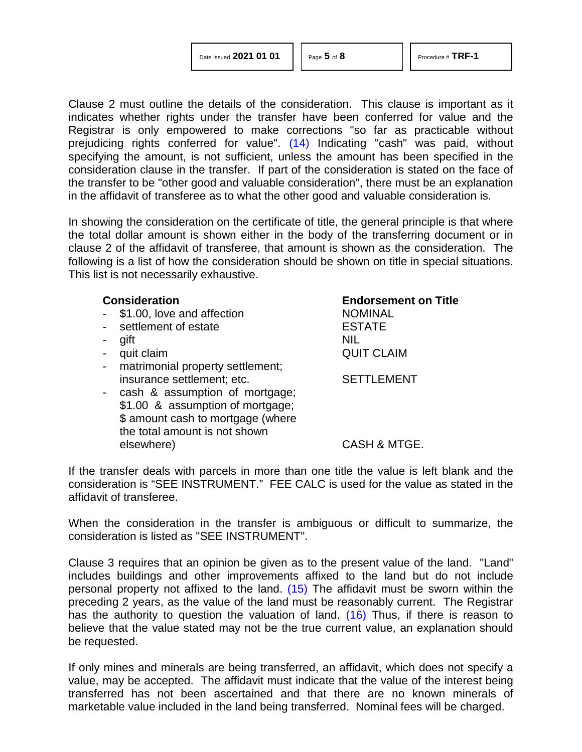| Date Issued 2021 01 01 |  |  |  |
|------------------------|--|--|--|
|------------------------|--|--|--|

<span id="page-4-0"></span>

Clause 2 must outline the details of the consideration. This clause is important as it indicates whether rights under the transfer have been conferred for value and the Registrar is only empowered to make corrections "so far as practicable without prejudicing rights conferred for value". [\(14\)](#page-7-2) Indicating "cash" was paid, without specifying the amount, is not sufficient, unless the amount has been specified in the consideration clause in the transfer. If part of the consideration is stated on the face of the transfer to be "other good and valuable consideration", there must be an explanation in the affidavit of transferee as to what the other good and valuable consideration is.

In showing the consideration on the certificate of title, the general principle is that where the total dollar amount is shown either in the body of the transferring document or in clause 2 of the affidavit of transferee, that amount is shown as the consideration. The following is a list of how the consideration should be shown on title in special situations. This list is not necessarily exhaustive.

|        | <b>Consideration</b>              | <b>Endorsement on Title</b> |
|--------|-----------------------------------|-----------------------------|
|        | \$1.00, love and affection        | <b>NOMINAL</b>              |
|        | settlement of estate              | <b>ESTATE</b>               |
|        | gift                              | <b>NIL</b>                  |
|        | quit claim                        | <b>QUIT CLAIM</b>           |
| $\sim$ | matrimonial property settlement;  |                             |
|        | insurance settlement; etc.        | <b>SETTLEMENT</b>           |
|        | - cash & assumption of mortgage;  |                             |
|        | \$1.00 & assumption of mortgage;  |                             |
|        | \$ amount cash to mortgage (where |                             |
|        | the total amount is not shown     |                             |
|        | elsewhere)                        | CASH & MTGE.                |

If the transfer deals with parcels in more than one title the value is left blank and the consideration is "SEE INSTRUMENT." FEE CALC is used for the value as stated in the affidavit of transferee.

When the consideration in the transfer is ambiguous or difficult to summarize, the consideration is listed as "SEE INSTRUMENT".

<span id="page-4-2"></span><span id="page-4-1"></span>Clause 3 requires that an opinion be given as to the present value of the land. "Land" includes buildings and other improvements affixed to the land but do not include personal property not affixed to the land. [\(15\)](#page-7-3) The affidavit must be sworn within the preceding 2 years, as the value of the land must be reasonably current. The Registrar has the authority to question the valuation of land. [\(16\)](#page-7-4) Thus, if there is reason to believe that the value stated may not be the true current value, an explanation should be requested.

If only mines and minerals are being transferred, an affidavit, which does not specify a value, may be accepted. The affidavit must indicate that the value of the interest being transferred has not been ascertained and that there are no known minerals of marketable value included in the land being transferred. Nominal fees will be charged.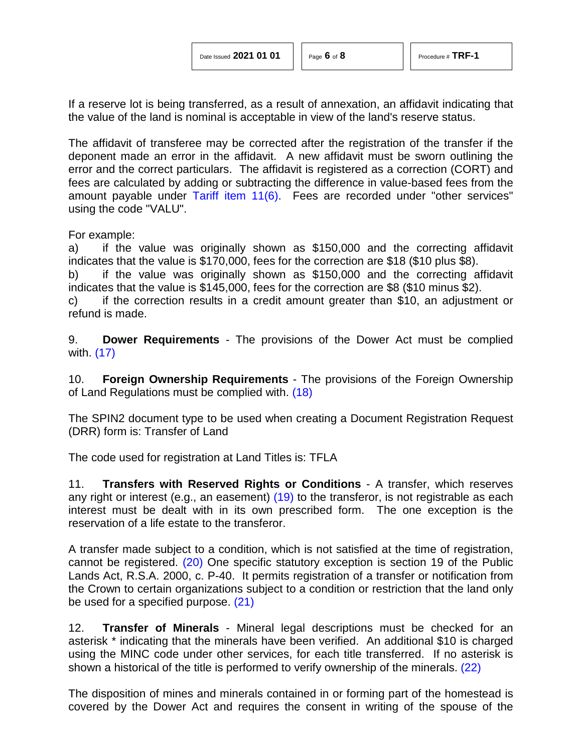If a reserve lot is being transferred, as a result of annexation, an affidavit indicating that the value of the land is nominal is acceptable in view of the land's reserve status.

The affidavit of transferee may be corrected after the registration of the transfer if the deponent made an error in the affidavit. A new affidavit must be sworn outlining the error and the correct particulars. The affidavit is registered as a correction (CORT) and fees are calculated by adding or subtracting the difference in value-based fees from the amount payable under [Tariff item 11\(6\).](http://www.servicealberta.ca/pdf/ltmanual/APPENDIXI.PDF) Fees are recorded under "other services" using the code "VALU".

For example:

a) if the value was originally shown as \$150,000 and the correcting affidavit indicates that the value is \$170,000, fees for the correction are \$18 (\$10 plus \$8).

b) if the value was originally shown as \$150,000 and the correcting affidavit indicates that the value is \$145,000, fees for the correction are \$8 (\$10 minus \$2).

c) if the correction results in a credit amount greater than \$10, an adjustment or refund is made.

<span id="page-5-0"></span>9. **Dower Requirements** - The provisions of the Dower Act must be complied with. [\(17\)](#page-7-5)

<span id="page-5-1"></span>10. **Foreign Ownership Requirements** - The provisions of the Foreign Ownership of Land Regulations must be complied with. [\(18\)](#page-7-6)

The SPIN2 document type to be used when creating a Document Registration Request (DRR) form is: Transfer of Land

The code used for registration at Land Titles is: TFLA

<span id="page-5-2"></span>11. **Transfers with Reserved Rights or Conditions** - A transfer, which reserves any right or interest (e.g., an easement) [\(19\)](#page-7-7) to the transferor, is not registrable as each interest must be dealt with in its own prescribed form. The one exception is the reservation of a life estate to the transferor.

<span id="page-5-3"></span>A transfer made subject to a condition, which is not satisfied at the time of registration, cannot be registered. [\(20\)](#page-7-8) One specific statutory exception is section 19 of the Public Lands Act, R.S.A. 2000, c. P-40. It permits registration of a transfer or notification from the Crown to certain organizations subject to a condition or restriction that the land only be used for a specified purpose. [\(21\)](#page-7-9)

<span id="page-5-4"></span>12. **Transfer of Minerals** - Mineral legal descriptions must be checked for an asterisk \* indicating that the minerals have been verified. An additional \$10 is charged using the MINC code under other services, for each title transferred. If no asterisk is shown a historical of the title is performed to verify ownership of the minerals. [\(22\)](#page-7-10)

<span id="page-5-5"></span>The disposition of mines and minerals contained in or forming part of the homestead is covered by the Dower Act and requires the consent in writing of the spouse of the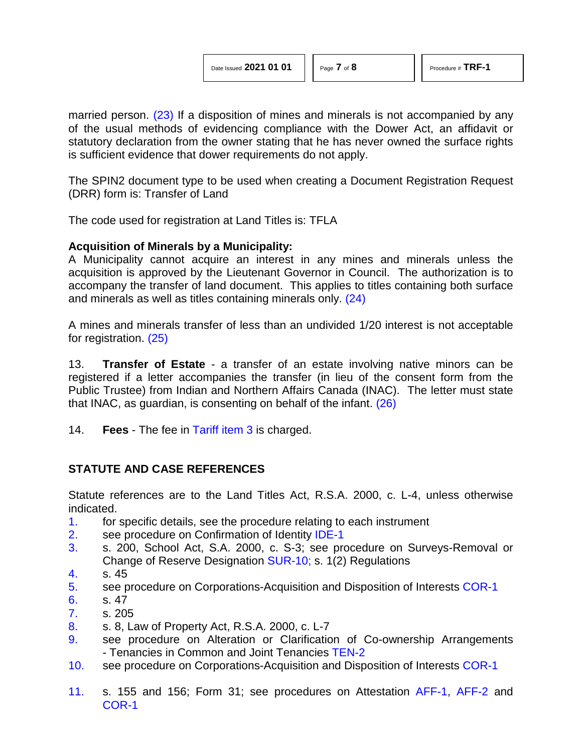<span id="page-6-11"></span>married person. [\(23\)](#page-7-11) If a disposition of mines and minerals is not accompanied by any of the usual methods of evidencing compliance with the Dower Act, an affidavit or statutory declaration from the owner stating that he has never owned the surface rights is sufficient evidence that dower requirements do not apply.

The SPIN2 document type to be used when creating a Document Registration Request (DRR) form is: Transfer of Land

The code used for registration at Land Titles is: TFLA

## **Acquisition of Minerals by a Municipality:**

A Municipality cannot acquire an interest in any mines and minerals unless the acquisition is approved by the Lieutenant Governor in Council. The authorization is to accompany the transfer of land document. This applies to titles containing both surface and minerals as well as titles containing minerals only. [\(24\)](#page-7-12)

<span id="page-6-13"></span><span id="page-6-12"></span>A mines and minerals transfer of less than an undivided 1/20 interest is not acceptable for registration. [\(25\)](#page-7-13)

13. **Transfer of Estate** - a transfer of an estate involving native minors can be registered if a letter accompanies the transfer (in lieu of the consent form from the Public Trustee) from Indian and Northern Affairs Canada (INAC). The letter must state that INAC, as guardian, is consenting on behalf of the infant. [\(26\)](#page-7-14)

<span id="page-6-14"></span>14. **Fees** - The fee in [Tariff item 3](http://www.servicealberta.ca/pdf/ltmanual/APPENDIXI.PDF) is charged.

# **STATUTE AND CASE REFERENCES**

Statute references are to the Land Titles Act, R.S.A. 2000, c. L-4, unless otherwise indicated.

- <span id="page-6-0"></span>[1.](#page-0-0) for specific details, see the procedure relating to each instrument
- <span id="page-6-1"></span>[2.](#page-0-1) see procedure on Confirmation of Identity [IDE-1](http://www.servicealberta.ca/pdf/ltmanual/IDE-1.PDF)
- <span id="page-6-2"></span>[3.](#page-1-0) s. 200, School Act, S.A. 2000, c. S-3; see procedure on Surveys-Removal or Change of Reserve Designation [SUR-10;](http://www.servicealberta.ca/pdf/ltmanual/SUR-10.PDF) s. 1(2) Regulations
- <span id="page-6-3"></span>[4.](#page-2-0) s. 45
- <span id="page-6-4"></span>[5.](#page-2-1) see procedure on Corporations-Acquisition and Disposition of Interests [COR-1](http://www.servicealberta.ca/pdf/ltmanual/COR-1.PDF)
- <span id="page-6-5"></span>[6.](#page-2-2) s. 47
- <span id="page-6-6"></span>[7.](#page-2-3) s. 205
- <span id="page-6-7"></span>[8.](#page-3-0) s. 8, Law of Property Act, R.S.A. 2000, c. L-7
- <span id="page-6-8"></span>[9.](#page-3-1) see procedure on Alteration or Clarification of Co-ownership Arrangements - Tenancies in Common and Joint Tenancies [TEN-2](http://www.servicealberta.ca/pdf/ltmanual/TEN-2.PDF)
- <span id="page-6-10"></span><span id="page-6-9"></span>[10.](#page-3-2) see procedure on Corporations-Acquisition and Disposition of Interests [COR-1](http://www.servicealberta.ca/pdf/ltmanual/COR-1.PDF)
- [11.](#page-3-3) s. 155 and 156; Form 31; see procedures on Attestation [AFF-1,](http://www.servicealberta.ca/pdf/ltmanual/AFF-1.PDF) [AFF-2](http://www.servicealberta.ca/pdf/ltmanual/AFF-2.PDF) and [COR-1](http://www.servicealberta.ca/pdf/ltmanual/COR-1.PDF)